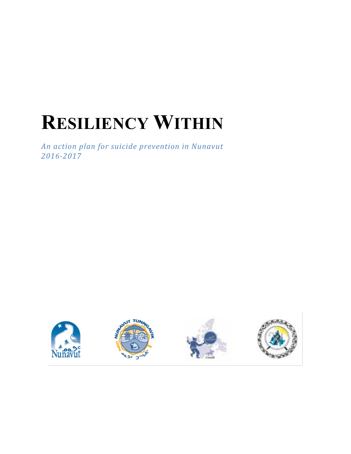# **RESILIENCY WITHIN**

*An action!plan!for!suicide!prevention in!Nunavut 201672017*







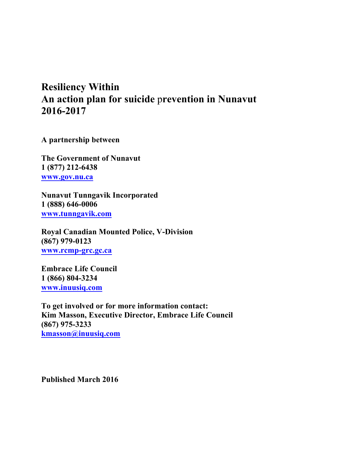## **Resiliency Within An action plan for suicide** p**revention in Nunavut 2016-2017**

**A partnership between**

**The Government of Nunavut 1 (877) 212-6438 www.gov.nu.ca**

**Nunavut Tunngavik Incorporated 1 (888) 646-0006 www.tunngavik.com**

**Royal Canadian Mounted Police, V-Division (867) 979-0123 www.rcmp-grc.gc.ca**

**Embrace Life Council 1 (866) 804-3234 www.inuusiq.com**

**To get involved or for more information contact: Kim Masson, Executive Director, Embrace Life Council (867) 975-3233 kmasson@inuusiq.com**

**Published March 2016**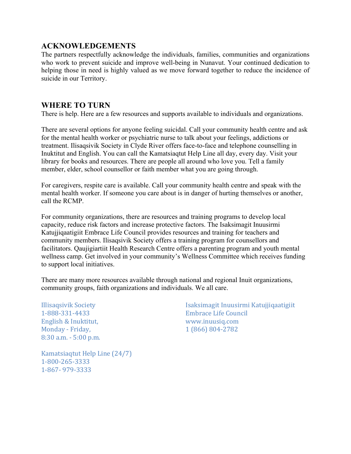#### **ACKNOWLEDGEMENTS**

The partners respectfully acknowledge the individuals, families, communities and organizations who work to prevent suicide and improve well-being in Nunavut. Your continued dedication to helping those in need is highly valued as we move forward together to reduce the incidence of suicide in our Territory.

#### **WHERE TO TURN**

There is help. Here are a few resources and supports available to individuals and organizations.

There are several options for anyone feeling suicidal. Call your community health centre and ask for the mental health worker or psychiatric nurse to talk about your feelings, addictions or treatment. Ilisaqsivik Society in Clyde River offers face-to-face and telephone counselling in Inuktitut and English. You can call the Kamatsiaqtut Help Line all day, every day. Visit your library for books and resources. There are people all around who love you. Tell a family member, elder, school counsellor or faith member what you are going through.

For caregivers, respite care is available. Call your community health centre and speak with the mental health worker. If someone you care about is in danger of hurting themselves or another, call the RCMP.

For community organizations, there are resources and training programs to develop local capacity, reduce risk factors and increase protective factors. The Isaksimagit Inuusirmi Katujjiqaatigiit Embrace Life Council provides resources and training for teachers and community members. Ilisaqsivik Society offers a training program for counsellors and facilitators. Qaujigiartiit Health Research Centre offers a parenting program and youth mental wellness camp. Get involved in your community's Wellness Committee which receives funding to support local initiatives.

There are many more resources available through national and regional Inuit organizations, community groups, faith organizations and individuals. We all care.

**Illisaqsivik Society** 1-888-331-4433 English & Inuktitut, Monday - Friday, 8:30 a.m. - 5:00 p.m. Isaksimagit Inuusirmi Katujjiqaatigiit Embrace Life Council www.inuusiq.com 1 (866) 804-2782

Kamatsiaqtut Help Line (24/7) 1-800-265-3333 1-867-979-3333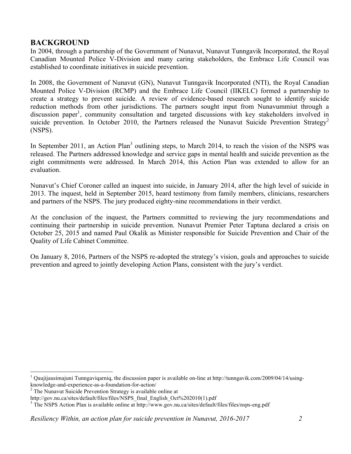#### **BACKGROUND**

In 2004, through a partnership of the Government of Nunavut, Nunavut Tunngavik Incorporated, the Royal Canadian Mounted Police V-Division and many caring stakeholders, the Embrace Life Council was established to coordinate initiatives in suicide prevention.

In 2008, the Government of Nunavut (GN), Nunavut Tunngavik Incorporated (NTI), the Royal Canadian Mounted Police V-Division (RCMP) and the Embrace Life Council (IIKELC) formed a partnership to create a strategy to prevent suicide. A review of evidence-based research sought to identify suicide reduction methods from other jurisdictions. The partners sought input from Nunavummiut through a discussion paper<sup>1</sup>, community consultation and targeted discussions with key stakeholders involved in suicide prevention. In October 2010, the Partners released the Nunavut Suicide Prevention Strategy<sup>2</sup> (NSPS).

In September 2011, an Action Plan<sup>3</sup> outlining steps, to March 2014, to reach the vision of the NSPS was released. The Partners addressed knowledge and service gaps in mental health and suicide prevention as the eight commitments were addressed. In March 2014, this Action Plan was extended to allow for an evaluation.

Nunavut's Chief Coroner called an inquest into suicide, in January 2014, after the high level of suicide in 2013. The inquest, held in September 2015, heard testimony from family members, clinicians, researchers and partners of the NSPS. The jury produced eighty-nine recommendations in their verdict.

At the conclusion of the inquest, the Partners committed to reviewing the jury recommendations and continuing their partnership in suicide prevention. Nunavut Premier Peter Taptuna declared a crisis on October 25, 2015 and named Paul Okalik as Minister responsible for Suicide Prevention and Chair of the Quality of Life Cabinet Committee.

On January 8, 2016, Partners of the NSPS re-adopted the strategy's vision, goals and approaches to suicide prevention and agreed to jointly developing Action Plans, consistent with the jury's verdict.

<sup>&</sup>lt;sup>1</sup> Qaujijausimajuni Tunngavigarniq, the discussion paper is available on-line at http://tunngavik.com/2009/04/14/usingknowledge-and-experience-as-a-foundation-for-action/<br><sup>2</sup> The Nunavut Suicide Prevention Strategy is available online at

http://gov.nu.ca/sites/default/files/files/NSPS\_final\_English\_Oct%202010(1).pdf

<sup>&</sup>lt;sup>3</sup> The NSPS Action Plan is available online at http://www.gov.nu.ca/sites/default/files/files/nsps-eng.pdf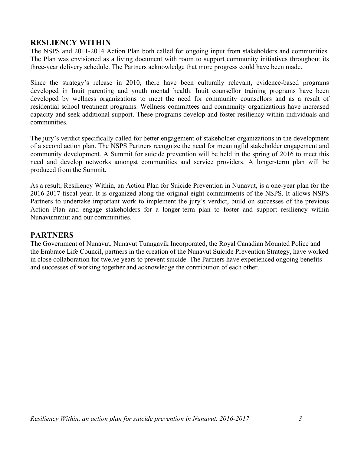#### **RESLIENCY WITHIN**

The NSPS and 2011-2014 Action Plan both called for ongoing input from stakeholders and communities. The Plan was envisioned as a living document with room to support community initiatives throughout its three-year delivery schedule. The Partners acknowledge that more progress could have been made.

Since the strategy's release in 2010, there have been culturally relevant, evidence-based programs developed in Inuit parenting and youth mental health. Inuit counsellor training programs have been developed by wellness organizations to meet the need for community counsellors and as a result of residential school treatment programs. Wellness committees and community organizations have increased capacity and seek additional support. These programs develop and foster resiliency within individuals and communities.

The jury's verdict specifically called for better engagement of stakeholder organizations in the development of a second action plan. The NSPS Partners recognize the need for meaningful stakeholder engagement and community development. A Summit for suicide prevention will be held in the spring of 2016 to meet this need and develop networks amongst communities and service providers. A longer-term plan will be produced from the Summit.

As a result, Resiliency Within, an Action Plan for Suicide Prevention in Nunavut, is a one-year plan for the 2016-2017 fiscal year. It is organized along the original eight commitments of the NSPS. It allows NSPS Partners to undertake important work to implement the jury's verdict, build on successes of the previous Action Plan and engage stakeholders for a longer-term plan to foster and support resiliency within Nunavummiut and our communities.

#### **PARTNERS**

The Government of Nunavut, Nunavut Tunngavik Incorporated, the Royal Canadian Mounted Police and the Embrace Life Council, partners in the creation of the Nunavut Suicide Prevention Strategy, have worked in close collaboration for twelve years to prevent suicide. The Partners have experienced ongoing benefits and successes of working together and acknowledge the contribution of each other.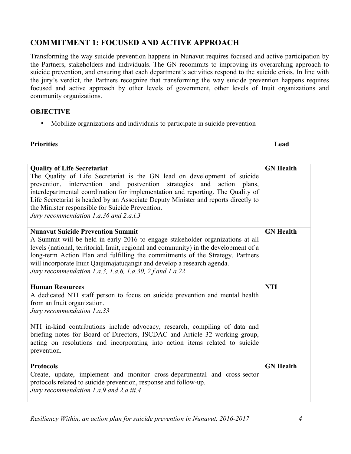## **COMMITMENT 1: FOCUSED AND ACTIVE APPROACH**

Transforming the way suicide prevention happens in Nunavut requires focused and active participation by the Partners, stakeholders and individuals. The GN recommits to improving its overarching approach to suicide prevention, and ensuring that each department's activities respond to the suicide crisis. In line with the jury's verdict, the Partners recognize that transforming the way suicide prevention happens requires focused and active approach by other levels of government, other levels of Inuit organizations and community organizations.

#### **OBJECTIVE**

• Mobilize organizations and individuals to participate in suicide prevention

| Priori<br>rities | ead<br>$- - - - - -$ |
|------------------|----------------------|
|                  |                      |

| <b>Quality of Life Secretariat</b><br>The Quality of Life Secretariat is the GN lead on development of suicide<br>prevention, intervention and postvention strategies and<br>action plans.<br>interdepartmental coordination for implementation and reporting. The Quality of<br>Life Secretariat is headed by an Associate Deputy Minister and reports directly to<br>the Minister responsible for Suicide Prevention.<br>Jury recommendation 1.a.36 and 2.a.i.3 | <b>GN</b> Health |
|-------------------------------------------------------------------------------------------------------------------------------------------------------------------------------------------------------------------------------------------------------------------------------------------------------------------------------------------------------------------------------------------------------------------------------------------------------------------|------------------|
| <b>Nunavut Suicide Prevention Summit</b><br>A Summit will be held in early 2016 to engage stakeholder organizations at all<br>levels (national, territorial, Inuit, regional and community) in the development of a<br>long-term Action Plan and fulfilling the commitments of the Strategy. Partners<br>will incorporate Inuit Qaujimajatuqangit and develop a research agenda.<br>Jury recommendation 1.a.3, 1.a.6, 1.a.30, 2.f and 1.a.22                      | <b>GN</b> Health |
| <b>Human Resources</b><br>A dedicated NTI staff person to focus on suicide prevention and mental health<br>from an Inuit organization.<br>Jury recommendation 1.a.33<br>NTI in-kind contributions include advocacy, research, compiling of data and<br>briefing notes for Board of Directors, ISCDAC and Article 32 working group,<br>acting on resolutions and incorporating into action items related to suicide<br>prevention.                                 | <b>NTI</b>       |
| <b>Protocols</b><br>Create, update, implement and monitor cross-departmental and cross-sector<br>protocols related to suicide prevention, response and follow-up.<br>Jury recommendation 1.a.9 and 2.a.iii.4                                                                                                                                                                                                                                                      | <b>GN</b> Health |

*Resiliency Within, an action plan for suicide prevention in Nunavut, 2016-2017 4*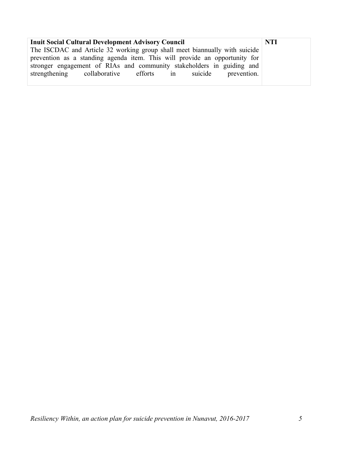| <b>Inuit Social Cultural Development Advisory Council</b>                  | NTI |
|----------------------------------------------------------------------------|-----|
| The ISCDAC and Article 32 working group shall meet biannually with suicide |     |
| prevention as a standing agenda item. This will provide an opportunity for |     |
| stronger engagement of RIAs and community stakeholders in guiding and      |     |
| strengthening collaborative efforts in suicide prevention.                 |     |
|                                                                            |     |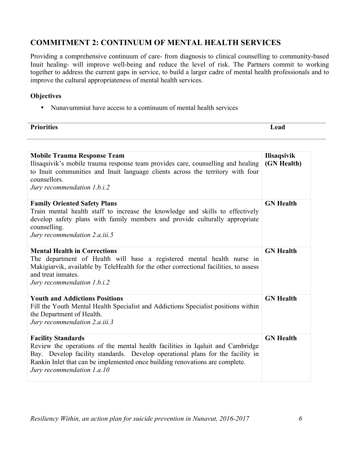## **COMMITMENT 2: CONTINUUM OF MENTAL HEALTH SERVICES**

Providing a comprehensive continuum of care- from diagnosis to clinical counselling to community-based Inuit healing- will improve well-being and reduce the level of risk. The Partners commit to working together to address the current gaps in service, to build a larger cadre of mental health professionals and to improve the cultural appropriateness of mental health services.

#### **Objectives**

• Nunavummiut have access to a continuum of mental health services

| <b>Priorities</b><br>ead<br>- - - - -<br>______ |  |
|-------------------------------------------------|--|

| <b>Mobile Trauma Response Team</b><br>Ilisaqsivik's mobile trauma response team provides care, counselling and healing<br>to Inuit communities and Inuit language clients across the territory with four<br>counsellors.<br>Jury recommendation 1.b.i.2                                                     | <b>Ilisaqsivik</b><br>(GN Health) |
|-------------------------------------------------------------------------------------------------------------------------------------------------------------------------------------------------------------------------------------------------------------------------------------------------------------|-----------------------------------|
| <b>Family Oriented Safety Plans</b><br>Train mental health staff to increase the knowledge and skills to effectively<br>develop safety plans with family members and provide culturally appropriate<br>counselling.<br>Jury recommendation 2.a.iii.5                                                        | <b>GN</b> Health                  |
| <b>Mental Health in Corrections</b><br>The department of Health will base a registered mental health nurse in<br>Makigiarvik, available by TeleHealth for the other correctional facilities, to assess<br>and treat inmates.<br>Jury recommendation 1.b.i.2                                                 | <b>GN</b> Health                  |
| <b>Youth and Addictions Positions</b><br>Fill the Youth Mental Health Specialist and Addictions Specialist positions within<br>the Department of Health.<br>Jury recommendation 2.a.iii.3                                                                                                                   | <b>GN</b> Health                  |
| <b>Facility Standards</b><br>Review the operations of the mental health facilities in Iqaluit and Cambridge<br>Bay. Develop facility standards. Develop operational plans for the facility in<br>Rankin Inlet that can be implemented once building renovations are complete.<br>Jury recommendation 1.a.10 | <b>GN</b> Health                  |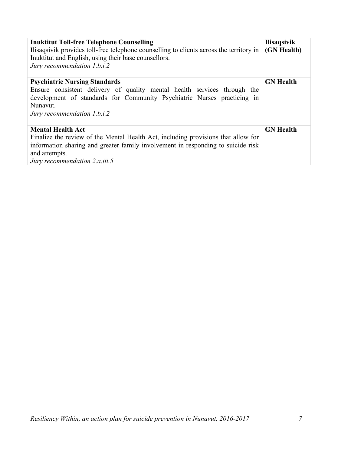| <b>Inuktitut Toll-free Telephone Counselling</b><br>Ilisagsivik provides toll-free telephone counselling to clients across the territory in<br>Inuktitut and English, using their base counsellors.<br>Jury recommendation 1.b.i.2                  | <b>Ilisaqsivik</b><br>(GN Health) |
|-----------------------------------------------------------------------------------------------------------------------------------------------------------------------------------------------------------------------------------------------------|-----------------------------------|
| <b>Psychiatric Nursing Standards</b><br>Ensure consistent delivery of quality mental health services through the<br>development of standards for Community Psychiatric Nurses practicing in<br>Nunavut.<br>Jury recommendation 1.b.i.2              | <b>GN</b> Health                  |
| <b>Mental Health Act</b><br>Finalize the review of the Mental Health Act, including provisions that allow for<br>information sharing and greater family involvement in responding to suicide risk<br>and attempts.<br>Jury recommendation 2.a.iii.5 | <b>GN</b> Health                  |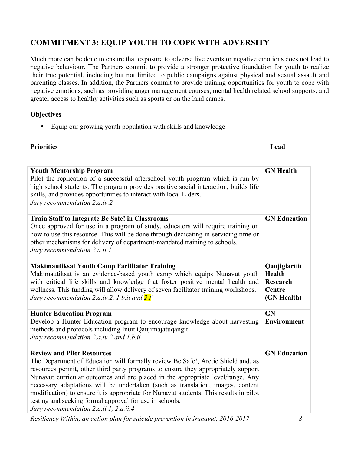## **COMMITMENT 3: EQUIP YOUTH TO COPE WITH ADVERSITY**

Much more can be done to ensure that exposure to adverse live events or negative emotions does not lead to negative behaviour. The Partners commit to provide a stronger protective foundation for youth to realize their true potential, including but not limited to public campaigns against physical and sexual assault and parenting classes. In addition, the Partners commit to provide training opportunities for youth to cope with negative emotions, such as providing anger management courses, mental health related school supports, and greater access to healthy activities such as sports or on the land camps.

#### **Objectives**

• Equip our growing youth population with skills and knowledge

| <b>Priorities</b>                                                                                                                                                                                                                                                                                                                                                                                                                                                                                                                                                            | Lead                                                                       |
|------------------------------------------------------------------------------------------------------------------------------------------------------------------------------------------------------------------------------------------------------------------------------------------------------------------------------------------------------------------------------------------------------------------------------------------------------------------------------------------------------------------------------------------------------------------------------|----------------------------------------------------------------------------|
| <b>Youth Mentorship Program</b><br>Pilot the replication of a successful afterschool youth program which is run by<br>high school students. The program provides positive social interaction, builds life<br>skills, and provides opportunities to interact with local Elders.<br>Jury recommendation 2.a.iv.2                                                                                                                                                                                                                                                               | <b>GN</b> Health                                                           |
| <b>Train Staff to Integrate Be Safe! in Classrooms</b><br>Once approved for use in a program of study, educators will require training on<br>how to use this resource. This will be done through dedicating in-servicing time or<br>other mechanisms for delivery of department-mandated training to schools.<br>Jury recommendation 2.a.ii.1                                                                                                                                                                                                                                | <b>GN Education</b>                                                        |
| <b>Makimautiksat Youth Camp Facilitator Training</b><br>Makimautiksat is an evidence-based youth camp which equips Nunavut youth<br>with critical life skills and knowledge that foster positive mental health and<br>wellness. This funding will allow delivery of seven facilitator training workshops.<br>Jury recommendation 2.a.iv.2, 1.b.ii and 2.f                                                                                                                                                                                                                    | Qaujigiartiit<br><b>Health</b><br><b>Research</b><br>Centre<br>(GN Health) |
| <b>Hunter Education Program</b><br>Develop a Hunter Education program to encourage knowledge about harvesting<br>methods and protocols including Inuit Qaujimajatuqangit.<br>Jury recommendation 2.a.iv.2 and 1.b.ii                                                                                                                                                                                                                                                                                                                                                         | <b>GN</b><br><b>Environment</b>                                            |
| <b>Review and Pilot Resources</b><br>The Department of Education will formally review Be Safe!, Arctic Shield and, as<br>resources permit, other third party programs to ensure they appropriately support<br>Nunavut curricular outcomes and are placed in the appropriate level/range. Any<br>necessary adaptations will be undertaken (such as translation, images, content<br>modification) to ensure it is appropriate for Nunavut students. This results in pilot<br>testing and seeking formal approval for use in schools.<br>Jury recommendation 2.a.ii.1, 2.a.ii.4 | <b>GN Education</b>                                                        |

*Resiliency Within, an action plan for suicide prevention in Nunavut, 2016-2017 8*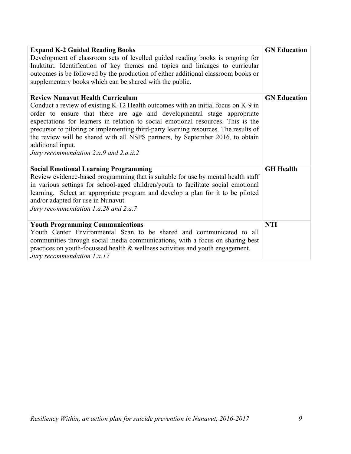| <b>Expand K-2 Guided Reading Books</b><br>Development of classroom sets of levelled guided reading books is ongoing for<br>Inuktitut. Identification of key themes and topics and linkages to curricular<br>outcomes is be followed by the production of either additional classroom books or<br>supplementary books which can be shared with the public.                                                                                                                                                                           | <b>GN Education</b> |
|-------------------------------------------------------------------------------------------------------------------------------------------------------------------------------------------------------------------------------------------------------------------------------------------------------------------------------------------------------------------------------------------------------------------------------------------------------------------------------------------------------------------------------------|---------------------|
| <b>Review Nunavut Health Curriculum</b><br>Conduct a review of existing K-12 Health outcomes with an initial focus on K-9 in<br>order to ensure that there are age and developmental stage appropriate<br>expectations for learners in relation to social emotional resources. This is the<br>precursor to piloting or implementing third-party learning resources. The results of<br>the review will be shared with all NSPS partners, by September 2016, to obtain<br>additional input.<br>Jury recommendation 2.a.9 and 2.a.ii.2 | <b>GN Education</b> |
| <b>Social Emotional Learning Programming</b><br>Review evidence-based programming that is suitable for use by mental health staff<br>in various settings for school-aged children/youth to facilitate social emotional<br>learning. Select an appropriate program and develop a plan for it to be piloted<br>and/or adapted for use in Nunavut.<br>Jury recommendation 1.a.28 and 2.a.7                                                                                                                                             | <b>GH</b> Health    |
| <b>Youth Programming Communications</b><br>Youth Center Environmental Scan to be shared and communicated to all<br>communities through social media communications, with a focus on sharing best<br>practices on youth-focussed health & wellness activities and youth engagement.<br>Jury recommendation 1.a.17                                                                                                                                                                                                                    | <b>NTI</b>          |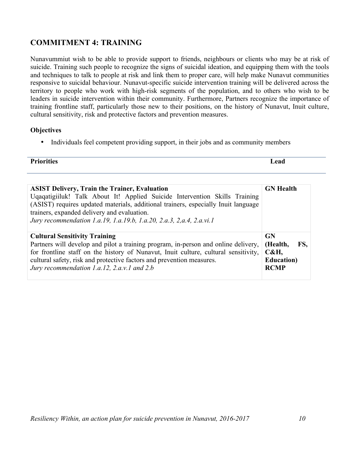## **COMMITMENT 4: TRAINING**

Nunavummiut wish to be able to provide support to friends, neighbours or clients who may be at risk of suicide. Training such people to recognize the signs of suicidal ideation, and equipping them with the tools and techniques to talk to people at risk and link them to proper care, will help make Nunavut communities responsive to suicidal behaviour. Nunavut-specific suicide intervention training will be delivered across the territory to people who work with high-risk segments of the population, and to others who wish to be leaders in suicide intervention within their community. Furthermore, Partners recognize the importance of training frontline staff, particularly those new to their positions, on the history of Nunavut, Inuit culture, cultural sensitivity, risk and protective factors and prevention measures.

#### **Objectives**

• Individuals feel competent providing support, in their jobs and as community members

| <b>Priorities</b> | -   |
|-------------------|-----|
|                   | ead |
|                   |     |

| <b>ASIST Delivery, Train the Trainer, Evaluation</b><br>Uqaqatigiiluk! Talk About It! Applied Suicide Intervention Skills Training<br>(ASIST) requires updated materials, additional trainers, especially Inuit language<br>trainers, expanded delivery and evaluation.<br>Jury recommendation 1.a.19, 1.a.19.b, 1.a.20, 2.a.3, 2,a.4, 2.a.vi.1 | <b>GN</b> Health                                                   |
|-------------------------------------------------------------------------------------------------------------------------------------------------------------------------------------------------------------------------------------------------------------------------------------------------------------------------------------------------|--------------------------------------------------------------------|
| <b>Cultural Sensitivity Training</b><br>Partners will develop and pilot a training program, in-person and online delivery,<br>for frontline staff on the history of Nunavut, Inuit culture, cultural sensitivity,<br>cultural safety, risk and protective factors and prevention measures.<br>Jury recommendation 1.a.12, 2.a.v.1 and 2.b       | GN<br>FS.<br>(Health,<br>C&H,<br><b>Education</b> )<br><b>RCMP</b> |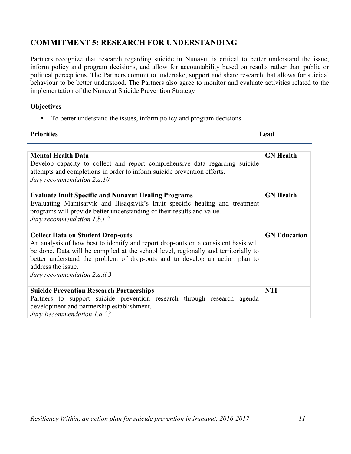## **COMMITMENT 5: RESEARCH FOR UNDERSTANDING**

Partners recognize that research regarding suicide in Nunavut is critical to better understand the issue, inform policy and program decisions, and allow for accountability based on results rather than public or political perceptions. The Partners commit to undertake, support and share research that allows for suicidal behaviour to be better understood. The Partners also agree to monitor and evaluate activities related to the implementation of the Nunavut Suicide Prevention Strategy

#### **Objectives**

• To better understand the issues, inform policy and program decisions

| <b>Priorities</b>                                                                                                                                                                                                                                                                                                                                           | Lead                |
|-------------------------------------------------------------------------------------------------------------------------------------------------------------------------------------------------------------------------------------------------------------------------------------------------------------------------------------------------------------|---------------------|
| <b>Mental Health Data</b>                                                                                                                                                                                                                                                                                                                                   | <b>GN</b> Health    |
| Develop capacity to collect and report comprehensive data regarding suicide<br>attempts and completions in order to inform suicide prevention efforts.<br>Jury recommendation 2.a.10                                                                                                                                                                        |                     |
| <b>Evaluate Inuit Specific and Nunavut Healing Programs</b><br>Evaluating Mamisarvik and Ilisaqsivik's Inuit specific healing and treatment<br>programs will provide better understanding of their results and value.<br>Jury recommendation 1.b.i.2                                                                                                        | <b>GN</b> Health    |
| <b>Collect Data on Student Drop-outs</b><br>An analysis of how best to identify and report drop-outs on a consistent basis will<br>be done. Data will be compiled at the school level, regionally and territorially to<br>better understand the problem of drop-outs and to develop an action plan to<br>address the issue.<br>Jury recommendation 2.a.ii.3 | <b>GN Education</b> |
| <b>Suicide Prevention Research Partnerships</b><br>Partners to support suicide prevention research through research agenda<br>development and partnership establishment.<br>Jury Recommendation 1.a.23                                                                                                                                                      | <b>NTI</b>          |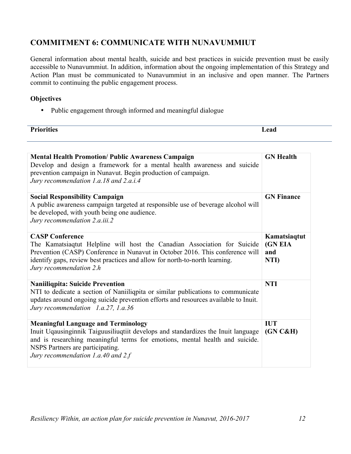## **COMMITMENT 6: COMMUNICATE WITH NUNAVUMMIUT**

General information about mental health, suicide and best practices in suicide prevention must be easily accessible to Nunavummiut. In addition, information about the ongoing implementation of this Strategy and Action Plan must be communicated to Nunavummiut in an inclusive and open manner. The Partners commit to continuing the public engagement process.

#### **Objectives**

• Public engagement through informed and meaningful dialogue

| <b>Priorities</b> | ead.          |
|-------------------|---------------|
| --------          | $- - - - - -$ |
|                   |               |

| <b>Mental Health Promotion/ Public Awareness Campaign</b><br>Develop and design a framework for a mental health awareness and suicide<br>prevention campaign in Nunavut. Begin production of campaign.<br>Jury recommendation 1.a.18 and 2.a.i.4                                              | <b>GN Health</b>                       |
|-----------------------------------------------------------------------------------------------------------------------------------------------------------------------------------------------------------------------------------------------------------------------------------------------|----------------------------------------|
| <b>Social Responsibility Campaign</b><br>A public awareness campaign targeted at responsible use of beverage alcohol will<br>be developed, with youth being one audience.<br>Jury recommendation 2.a.iii.2                                                                                    | <b>GN Finance</b>                      |
| <b>CASP Conference</b><br>The Kamatsiaqtut Helpline will host the Canadian Association for Suicide<br>Prevention (CASP) Conference in Nunavut in October 2016. This conference will<br>identify gaps, review best practices and allow for north-to-north learning.<br>Jury recommendation 2.h | Kamatsiaqtut<br>(GN EIA<br>and<br>NTI) |
| <b>Naniiliqpita: Suicide Prevention</b><br>NTI to dedicate a section of Naniiliqpita or similar publications to communicate<br>updates around ongoing suicide prevention efforts and resources available to Inuit.<br>Jury recommendation 1.a.27, 1.a.36                                      | <b>NTI</b>                             |
| <b>Meaningful Language and Terminology</b><br>Inuit Uqausinginnik Taiguusiliuqtiit develops and standardizes the Inuit language<br>and is researching meaningful terms for emotions, mental health and suicide.<br>NSPS Partners are participating.<br>Jury recommendation 1.a.40 and $2f$    | <b>IUT</b><br>(GN C&H)                 |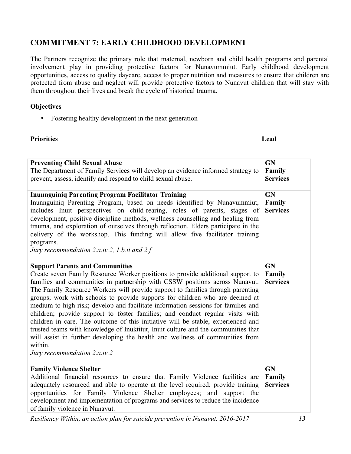## **COMMITMENT 7: EARLY CHILDHOOD DEVELOPMENT**

The Partners recognize the primary role that maternal, newborn and child health programs and parental involvement play in providing protective factors for Nunavummiut. Early childhood development opportunities, access to quality daycare, access to proper nutrition and measures to ensure that children are protected from abuse and neglect will provide protective factors to Nunavut children that will stay with them throughout their lives and break the cycle of historical trauma.

#### **Objectives**

• Fostering healthy development in the next generation

| <b>D</b><br>- - | $\sim$<br>-2012<br>----- |
|-----------------|--------------------------|
|                 |                          |

| <b>Preventing Child Sexual Abuse</b><br>The Department of Family Services will develop an evidence informed strategy to<br>prevent, assess, identify and respond to child sexual abuse.<br><b>Inunnguiniq Parenting Program Facilitator Training</b><br>Inunnguiniq Parenting Program, based on needs identified by Nunavummiut,<br>includes Inuit perspectives on child-rearing, roles of parents, stages of<br>development, positive discipline methods, wellness counselling and healing from<br>trauma, and exploration of ourselves through reflection. Elders participate in the<br>delivery of the workshop. This funding will allow five facilitator training<br>programs.<br>Jury recommendation 2.a.iv.2, 1.b.ii and 2.f                                                                                                                   | <b>GN</b><br>Family<br><b>Services</b><br><b>GN</b><br>Family<br><b>Services</b> |
|------------------------------------------------------------------------------------------------------------------------------------------------------------------------------------------------------------------------------------------------------------------------------------------------------------------------------------------------------------------------------------------------------------------------------------------------------------------------------------------------------------------------------------------------------------------------------------------------------------------------------------------------------------------------------------------------------------------------------------------------------------------------------------------------------------------------------------------------------|----------------------------------------------------------------------------------|
| <b>Support Parents and Communities</b><br>Create seven Family Resource Worker positions to provide additional support to<br>families and communities in partnership with CSSW positions across Nunavut.<br>The Family Resource Workers will provide support to families through parenting<br>groups; work with schools to provide supports for children who are deemed at<br>medium to high risk; develop and facilitate information sessions for families and<br>children; provide support to foster families; and conduct regular visits with<br>children in care. The outcome of this initiative will be stable, experienced and<br>trusted teams with knowledge of Inuktitut, Inuit culture and the communities that<br>will assist in further developing the health and wellness of communities from<br>within.<br>Jury recommendation 2.a.iv.2 | <b>GN</b><br>Family<br><b>Services</b>                                           |
| <b>Family Violence Shelter</b><br>Additional financial resources to ensure that Family Violence facilities are<br>adequately resourced and able to operate at the level required; provide training<br>opportunities for Family Violence Shelter employees; and support the<br>development and implementation of programs and services to reduce the incidence<br>of family violence in Nunavut.                                                                                                                                                                                                                                                                                                                                                                                                                                                      | <b>GN</b><br>Family<br><b>Services</b>                                           |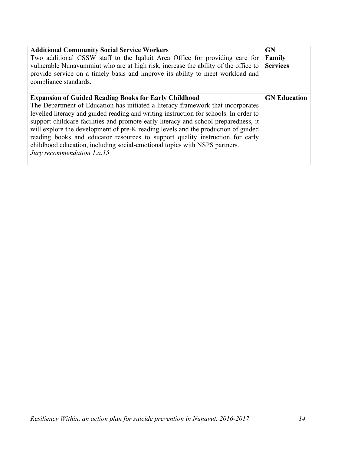| <b>Additional Community Social Service Workers</b><br>Two additional CSSW staff to the Iqaluit Area Office for providing care for<br>vulnerable Nunavummiut who are at high risk, increase the ability of the office to<br>provide service on a timely basis and improve its ability to meet workload and<br>compliance standards.                                                                                                                                                                                                                                                                                 | GN<br>Family<br><b>Services</b> |
|--------------------------------------------------------------------------------------------------------------------------------------------------------------------------------------------------------------------------------------------------------------------------------------------------------------------------------------------------------------------------------------------------------------------------------------------------------------------------------------------------------------------------------------------------------------------------------------------------------------------|---------------------------------|
| <b>Expansion of Guided Reading Books for Early Childhood</b><br>The Department of Education has initiated a literacy framework that incorporates<br>levelled literacy and guided reading and writing instruction for schools. In order to<br>support childcare facilities and promote early literacy and school preparedness, it<br>will explore the development of pre-K reading levels and the production of guided<br>reading books and educator resources to support quality instruction for early<br>childhood education, including social-emotional topics with NSPS partners.<br>Jury recommendation 1.a.15 | <b>GN Education</b>             |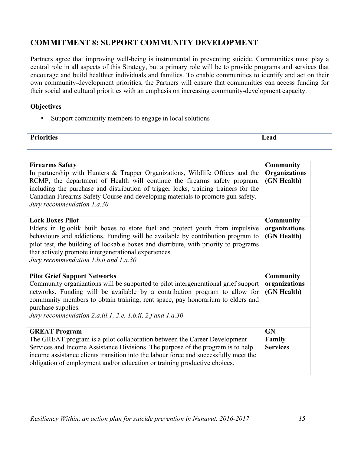## **COMMITMENT 8: SUPPORT COMMUNITY DEVELOPMENT**

Partners agree that improving well-being is instrumental in preventing suicide. Communities must play a central role in all aspects of this Strategy, but a primary role will be to provide programs and services that encourage and build healthier individuals and families. To enable communities to identify and act on their own community-development priorities, the Partners will ensure that communities can access funding for their social and cultural priorities with an emphasis on increasing community-development capacity.

#### **Objectives**

• Support community members to engage in local solutions

| <b>Priorities</b> | ead       |
|-------------------|-----------|
|                   | - - - - - |

| <b>Firearms Safety</b><br>In partnership with Hunters & Trapper Organizations, Wildlife Offices and the<br>RCMP, the department of Health will continue the firearms safety program,<br>including the purchase and distribution of trigger locks, training trainers for the<br>Canadian Firearms Safety Course and developing materials to promote gun safety.<br>Jury recommendation 1.a.30 | <b>Community</b><br><b>Organizations</b><br>(GN Health) |
|----------------------------------------------------------------------------------------------------------------------------------------------------------------------------------------------------------------------------------------------------------------------------------------------------------------------------------------------------------------------------------------------|---------------------------------------------------------|
| <b>Lock Boxes Pilot</b><br>Elders in Igloolik built boxes to store fuel and protect youth from impulsive<br>behaviours and addictions. Funding will be available by contribution program to<br>pilot test, the building of lockable boxes and distribute, with priority to programs<br>that actively promote intergenerational experiences.<br>Jury recommendation 1.b.ii and 1.a.30         | <b>Community</b><br>organizations<br>(GN Health)        |
| <b>Pilot Grief Support Networks</b><br>Community organizations will be supported to pilot intergenerational grief support<br>networks. Funding will be available by a contribution program to allow for<br>community members to obtain training, rent space, pay honorarium to elders and<br>purchase supplies.<br>Jury recommendation 2.a.iii.1, 2.e, 1.b.ii, 2.f and 1.a.30                | <b>Community</b><br>organizations<br>(GN Health)        |
| <b>GREAT Program</b><br>The GREAT program is a pilot collaboration between the Career Development<br>Services and Income Assistance Divisions. The purpose of the program is to help<br>income assistance clients transition into the labour force and successfully meet the<br>obligation of employment and/or education or training productive choices.                                    | <b>GN</b><br>Family<br><b>Services</b>                  |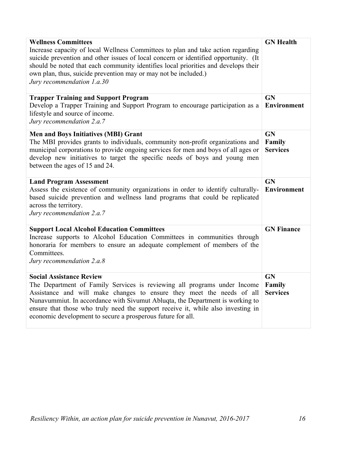| <b>Wellness Committees</b><br>Increase capacity of local Wellness Committees to plan and take action regarding<br>suicide prevention and other issues of local concern or identified opportunity. (It<br>should be noted that each community identifies local priorities and develops their<br>own plan, thus, suicide prevention may or may not be included.)<br>Jury recommendation 1.a.30                             | <b>GN</b> Health                       |
|--------------------------------------------------------------------------------------------------------------------------------------------------------------------------------------------------------------------------------------------------------------------------------------------------------------------------------------------------------------------------------------------------------------------------|----------------------------------------|
| <b>Trapper Training and Support Program</b><br>Develop a Trapper Training and Support Program to encourage participation as a<br>lifestyle and source of income.<br>Jury recommendation 2.a.7                                                                                                                                                                                                                            | GN<br><b>Environment</b>               |
| <b>Men and Boys Initiatives (MBI) Grant</b><br>The MBI provides grants to individuals, community non-profit organizations and<br>municipal corporations to provide ongoing services for men and boys of all ages or<br>develop new initiatives to target the specific needs of boys and young men<br>between the ages of 15 and 24.                                                                                      | <b>GN</b><br>Family<br><b>Services</b> |
| <b>Land Program Assessment</b><br>Assess the existence of community organizations in order to identify culturally-<br>based suicide prevention and wellness land programs that could be replicated<br>across the territory.<br>Jury recommendation 2.a.7                                                                                                                                                                 | <b>GN</b><br><b>Environment</b>        |
| <b>Support Local Alcohol Education Committees</b><br>Increase supports to Alcohol Education Committees in communities through<br>honoraria for members to ensure an adequate complement of members of the<br>Committees.<br>Jury recommendation 2.a.8                                                                                                                                                                    | <b>GN Finance</b>                      |
| <b>Social Assistance Review</b><br>The Department of Family Services is reviewing all programs under Income<br>Assistance and will make changes to ensure they meet the needs of all<br>Nunavummiut. In accordance with Sivumut Abluqta, the Department is working to<br>ensure that those who truly need the support receive it, while also investing in<br>economic development to secure a prosperous future for all. | <b>GN</b><br>Family<br><b>Services</b> |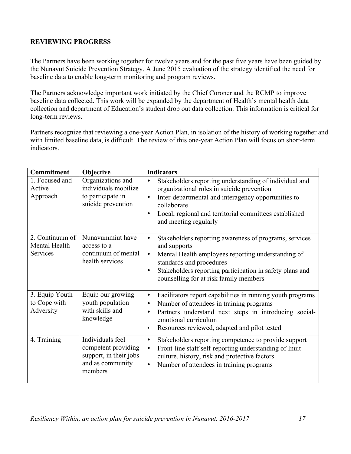#### **REVIEWING PROGRESS**

The Partners have been working together for twelve years and for the past five years have been guided by the Nunavut Suicide Prevention Strategy. A June 2015 evaluation of the strategy identified the need for baseline data to enable long-term monitoring and program reviews.

The Partners acknowledge important work initiated by the Chief Coroner and the RCMP to improve baseline data collected. This work will be expanded by the department of Health's mental health data collection and department of Education's student drop out data collection. This information is critical for long-term reviews.

Partners recognize that reviewing a one-year Action Plan, in isolation of the history of working together and with limited baseline data, is difficult. The review of this one-year Action Plan will focus on short-term indicators.

| Commitment                                   | Objective                                                                                        | <b>Indicators</b>                                                                                                                                                                                                                                                                             |
|----------------------------------------------|--------------------------------------------------------------------------------------------------|-----------------------------------------------------------------------------------------------------------------------------------------------------------------------------------------------------------------------------------------------------------------------------------------------|
| 1. Focused and<br>Active<br>Approach         | Organizations and<br>individuals mobilize<br>to participate in<br>suicide prevention             | Stakeholders reporting understanding of individual and<br>$\bullet$<br>organizational roles in suicide prevention<br>Inter-departmental and interagency opportunities to<br>$\bullet$<br>collaborate<br>Local, regional and territorial committees established<br>٠<br>and meeting regularly  |
| 2. Continuum of<br>Mental Health<br>Services | Nunavummiut have<br>access to a<br>continuum of mental<br>health services                        | Stakeholders reporting awareness of programs, services<br>٠<br>and supports<br>Mental Health employees reporting understanding of<br>$\bullet$<br>standards and procedures<br>Stakeholders reporting participation in safety plans and<br>$\bullet$<br>counselling for at risk family members |
| 3. Equip Youth<br>to Cope with<br>Adversity  | Equip our growing<br>youth population<br>with skills and<br>knowledge                            | Facilitators report capabilities in running youth programs<br>٠<br>Number of attendees in training programs<br>٠<br>Partners understand next steps in introducing social-<br>emotional curriculum<br>Resources reviewed, adapted and pilot tested<br>$\bullet$                                |
| 4. Training                                  | Individuals feel<br>competent providing<br>support, in their jobs<br>and as community<br>members | Stakeholders reporting competence to provide support<br>$\bullet$<br>Front-line staff self-reporting understanding of Inuit<br>$\bullet$<br>culture, history, risk and protective factors<br>Number of attendees in training programs<br>$\bullet$                                            |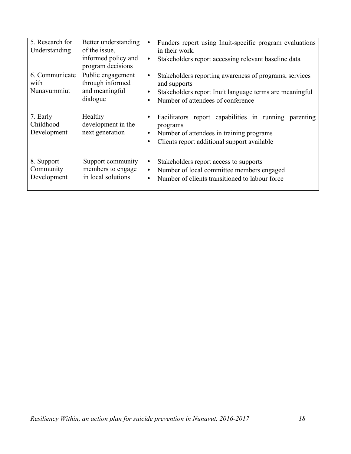| 5. Research for<br>Understanding       | Better understanding<br>of the issue,<br>informed policy and<br>program decisions | Funders report using Inuit-specific program evaluations<br>in their work.<br>Stakeholders report accessing relevant baseline data<br>$\bullet$                                   |
|----------------------------------------|-----------------------------------------------------------------------------------|----------------------------------------------------------------------------------------------------------------------------------------------------------------------------------|
| 6. Communicate<br>with<br>Nunavummiut  | Public engagement<br>through informed<br>and meaningful<br>dialogue               | Stakeholders reporting awareness of programs, services<br>٠<br>and supports<br>Stakeholders report Inuit language terms are meaningful<br>٠<br>Number of attendees of conference |
| 7. Early<br>Childhood<br>Development   | Healthy<br>development in the<br>next generation                                  | Facilitators report capabilities in running parenting<br>٠<br>programs<br>Number of attendees in training programs<br>٠<br>Clients report additional support available<br>٠      |
| 8. Support<br>Community<br>Development | Support community<br>members to engage<br>in local solutions                      | Stakeholders report access to supports<br>٠<br>Number of local committee members engaged<br>$\bullet$<br>Number of clients transitioned to labour force<br>$\bullet$             |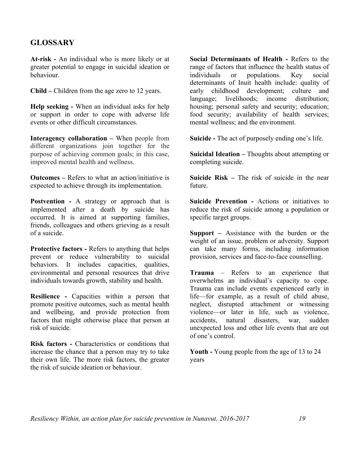### **GLOSSARY**

**At-risk -** An individual who is more likely or at greater potential to engage in suicidal ideation or behaviour.

**Child –** Children from the age zero to 12 years.

**Help seeking -** When an individual asks for help or support in order to cope with adverse life events or other difficult circumstances.

**Interagency collaboration –** When people from different organizations join together for the purpose of achieving common goals; in this case, improved mental health and wellness.

**Outcomes –** Refers to what an action/initiative is expected to achieve through its implementation.

**Postvention -** A strategy or approach that is implemented after a death by suicide has occurred. It is aimed at supporting families, friends, colleagues and others grieving as a result of a suicide.

**Protective factors -** Refers to anything that helps prevent or reduce vulnerability to suicidal behaviors. It includes capacities, qualities, environmental and personal resources that drive individuals towards growth, stability and health.

**Resilience -** Capacities within a person that promote positive outcomes, such as mental health and wellbeing, and provide protection from factors that might otherwise place that person at risk of suicide.

**Risk factors -** Characteristics or conditions that increase the chance that a person may try to take their own life. The more risk factors, the greater the risk of suicide ideation or behaviour.

**Social Determinants of Health -** Refers to the range of factors that influence the health status of individuals or populations. Key social determinants of Inuit health include: quality of early childhood development; culture and language; livelihoods; income distribution; housing; personal safety and security; education; food security; availability of health services; mental wellness; and the environment.

**Suicide -** The act of purposely ending one's life.

**Suicidal Ideation –** Thoughts about attempting or completing suicide.

**Suicide Risk –** The risk of suicide in the near future.

**Suicide Prevention -** Actions or initiatives to reduce the risk of suicide among a population or specific target groups.

**Support –** Assistance with the burden or the weight of an issue, problem or adversity. Support can take many forms, including information provision, services and face-to-face counselling.

**Trauma** – Refers to an experience that overwhelms an individual's capacity to cope. Trauma can include events experienced early in life—for example, as a result of child abuse, neglect, disrupted attachment or witnessing violence—or later in life, such as violence, accidents, natural disasters, war, sudden unexpected loss and other life events that are out of one's control.

**Youth -** Young people from the age of 13 to 24 years